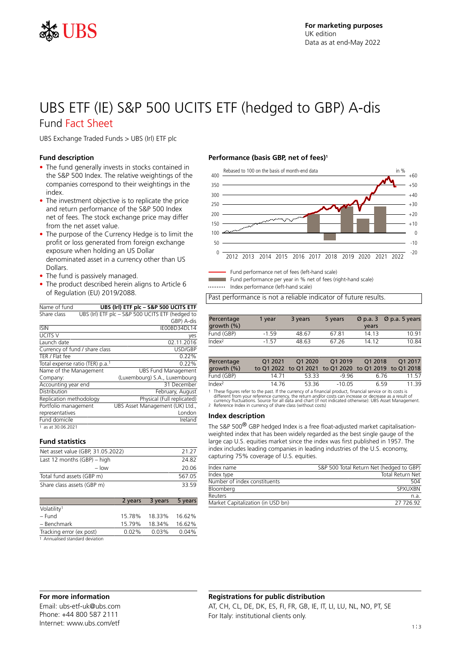

# UBS ETF (IE) S&P 500 UCITS ETF (hedged to GBP) A-dis Fund Fact Sheet

UBS Exchange Traded Funds > UBS (Irl) ETF plc

### **Fund description**

- The fund generally invests in stocks contained in the S&P 500 Index. The relative weightings of the companies correspond to their weightings in the index.
- The investment objective is to replicate the price and return performance of the S&P 500 Index net of fees. The stock exchange price may differ from the net asset value.
- The purpose of the Currency Hedge is to limit the profit or loss generated from foreign exchange exposure when holding an US Dollar denominated asset in a currency other than US Dollars.
- The fund is passively managed.
- The product described herein aligns to Article 6 of Regulation (EU) 2019/2088.

| Name of fund                                | UBS (Irl) ETF plc - S&P 500 UCITS ETF            |
|---------------------------------------------|--------------------------------------------------|
| Share class                                 | UBS (Irl) ETF plc - S&P 500 UCITS ETF (hedged to |
|                                             | GBP) A-dis                                       |
| <b>ISIN</b>                                 | IE00BD34DL14                                     |
| UCITS V                                     | yes                                              |
| Launch date                                 | 02.11.2016                                       |
| Currency of fund / share class              | USD/GBP                                          |
| TER / Flat fee                              | 0.22%                                            |
| Total expense ratio (TER) p.a. <sup>1</sup> | 0.22%                                            |
| Name of the Management                      | <b>UBS Fund Management</b>                       |
| Company:                                    | (Luxembourg) S.A., Luxembourg                    |
| Accounting year end                         | 31 December                                      |
| Distribution                                | February, August                                 |
| Replication methodology                     | Physical (Full replicated)                       |
| Portfolio management                        | UBS Asset Management (UK) Ltd.,                  |
| representatives                             | London                                           |
| Fund domicile                               | Ireland                                          |
| 1 as at 30.06.2021                          |                                                  |

### **Fund statistics**

| Net asset value (GBP, 31.05.2022) | 21 27  |
|-----------------------------------|--------|
| Last 12 months $(GBP)$ – high     | 24.82  |
| $-$ low                           | 20.06  |
| Total fund assets (GBP m)         | 567.05 |
| Share class assets (GBP m)        | 33.59  |
|                                   |        |

|                                 |          | 2 years 3 years | 5 years |
|---------------------------------|----------|-----------------|---------|
| Volatility <sup>1</sup>         |          |                 |         |
| – Fund                          | 15.78%   | 18.33%          | 16.62%  |
| - Benchmark                     | 15.79%   | 18.34%          | 16.62%  |
| Tracking error (ex post)        | $0.02\%$ | 0.03%           | 0.04%   |
| 1 Annualised standard deviation |          |                 |         |

### **Performance (basis GBP, net of fees)<sup>1</sup>**



Fund performance net of fees (left-hand scale)

Fund performance per year in % net of fees (right-hand scale)

Index performance (left-hand scale)

Past performance is not a reliable indicator of future results.

| Percentage<br>growth $(\% )$ | 1 vear  | 3 years | 5 years | $\varnothing$ p.a. 3<br>years | Ø p.a. 5 years |
|------------------------------|---------|---------|---------|-------------------------------|----------------|
| Fund (GBP)                   | $-1.59$ | 48.67   | 67.81   | 14.13                         | 10 91          |
| Index <sup>2</sup>           | $-1.57$ | 48.63   | 67 26   | 14.12                         | 10.84          |

| Percentage<br>growth $(\% )$ | O1 2021 | O1 2020<br>to Q1 2022 to Q1 2021 to Q1 2020 to Q1 2019 to Q1 2018 | O1 2019  | O1 2018 | O1 2017 |
|------------------------------|---------|-------------------------------------------------------------------|----------|---------|---------|
| Fund (GBP)                   | 14 71   | 53.33                                                             | -9 96    | 6.76    | 11 57   |
| Index <sup>2</sup>           | 14 76   | 53.36                                                             | $-10.05$ | 659     | 11 39   |

1 These figures refer to the past. If the currency of a financial product, financial service or its costs is<br>different from your reference currency, the return and/or costs can increase or decrease as a result of<br>currency

#### **Index description**

The S&P 500® GBP hedged Index is a free float-adjusted market capitalisationweighted index that has been widely regarded as the best single gauge of the large cap U.S. equities market since the index was first published in 1957. The index includes leading companies in leading industries of the U.S. economy, capturing 75% coverage of U.S. equities.

| Index name                        | S&P 500 Total Return Net (hedged to GBP) |
|-----------------------------------|------------------------------------------|
| Index type                        | Total Return Net                         |
| Number of index constituents      | 504                                      |
| Bloomberg                         | SPXUXBN                                  |
| Reuters                           | n.a                                      |
| Market Capitalization (in USD bn) | 27 726 92                                |
|                                   |                                          |

## **For more information**

Email: ubs-etf-uk@ubs.com Phone: +44 800 587 2111 Internet: www.ubs.com/etf

### **Registrations for public distribution**

AT, CH, CL, DE, DK, ES, FI, FR, GB, IE, IT, LI, LU, NL, NO, PT, SE For Italy: institutional clients only.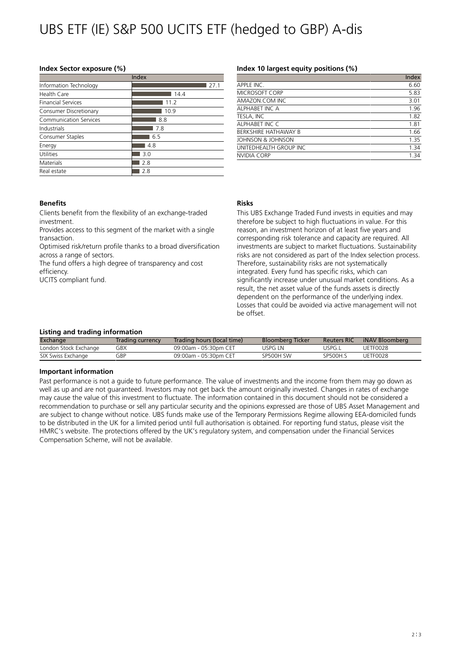# UBS ETF (IE) S&P 500 UCITS ETF (hedged to GBP) A-dis

### **Index Sector exposure (%)**

| Index                     |      |  |  |  |
|---------------------------|------|--|--|--|
| Information Technology    | 27.1 |  |  |  |
| Health Care               | 14.4 |  |  |  |
| <b>Financial Services</b> | 11.2 |  |  |  |
| Consumer Discretionary    | 10.9 |  |  |  |
| Communication Services    | 8.8  |  |  |  |
| Industrials               | 7.8  |  |  |  |
| Consumer Staples          | 6.5  |  |  |  |
| Energy                    | 4.8  |  |  |  |
| Utilities                 | 3.0  |  |  |  |
| Materials                 | 2.8  |  |  |  |
| Real estate               | 2.8  |  |  |  |

### **Index 10 largest equity positions (%)**

|                        | Index |
|------------------------|-------|
| APPLE INC.             | 6.60  |
| <b>MICROSOFT CORP</b>  | 5.83  |
| AMAZON.COM INC         | 3.01  |
| ALPHABET INC A         | 1.96  |
| TESLA, INC             | 1.82  |
| ALPHABET INC C         | 1.81  |
| BERKSHIRE HATHAWAY B   | 1.66  |
| JOHNSON & JOHNSON      | 1.35  |
| UNITEDHEALTH GROUP INC | 1.34  |
| NVIDIA CORP            | 1.34  |

### **Benefits**

Clients benefit from the flexibility of an exchange-traded investment.

Provides access to this segment of the market with a single transaction.

Optimised risk/return profile thanks to a broad diversification across a range of sectors.

The fund offers a high degree of transparency and cost efficiency.

UCITS compliant fund.

### **Risks**

This UBS Exchange Traded Fund invests in equities and may therefore be subject to high fluctuations in value. For this reason, an investment horizon of at least five years and corresponding risk tolerance and capacity are required. All investments are subject to market fluctuations. Sustainability risks are not considered as part of the Index selection process. Therefore, sustainability risks are not systematically integrated. Every fund has specific risks, which can significantly increase under unusual market conditions. As a result, the net asset value of the funds assets is directly dependent on the performance of the underlying index. Losses that could be avoided via active management will not be offset.

### **Listing and trading information**

| Exchange              | Trading currency | Trading hours (local time) | <b>Bloomberg Ticker</b> | <b>Reuters RIC</b> | iNAV Bloomberg |
|-----------------------|------------------|----------------------------|-------------------------|--------------------|----------------|
| London Stock Exchange | GBX              | 09:00am - 05:30pm CET      | USPG I N                | uspg.l             | UFTF0028       |
| SIX Swiss Exchange    | GBP              | 09:00am - 05:30pm CET      | SP500H SW               | SP500H.S           | UFTF0028       |

### **Important information**

Past performance is not a guide to future performance. The value of investments and the income from them may go down as well as up and are not guaranteed. Investors may not get back the amount originally invested. Changes in rates of exchange may cause the value of this investment to fluctuate. The information contained in this document should not be considered a recommendation to purchase or sell any particular security and the opinions expressed are those of UBS Asset Management and are subject to change without notice. UBS funds make use of the Temporary Permissions Regime allowing EEA-domiciled funds to be distributed in the UK for a limited period until full authorisation is obtained. For reporting fund status, please visit the HMRC's website. The protections offered by the UK's regulatory system, and compensation under the Financial Services Compensation Scheme, will not be available.